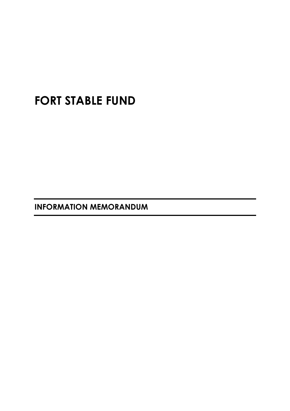# **FORT STABLE FUND**

**INFORMATION MEMORANDUM**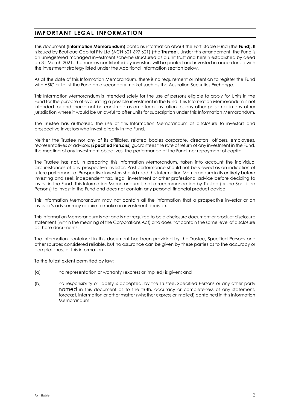# **IMPORTANT LEGAL INFORMATION**

This document (**Information Memorandum**) contains information about the Fort Stable Fund (the **Fund**). It is issued by Boutique Capital Pty Ltd (ACN 621 697 621) (the **Trustee**). Under this arrangement, the Fund is an unregistered managed investment scheme structured as a unit trust and herein established by deed on 31 March 2021. The monies contributed by investors will be pooled and invested in accordance with the investment strategy listed under the Additional Information section below.

As at the date of this Information Memorandum, there is no requirement or intention to register the Fund with ASIC or to list the Fund on a secondary market such as the Australian Securities Exchange.

This Information Memorandum is intended solely for the use of persons eligible to apply for Units in the Fund for the purpose of evaluating a possible investment in the Fund. This Information Memorandum is not intended for and should not be construed as an offer or invitation to, any other person or in any other jurisdiction where it would be unlawful to offer units for subscription under this Information Memorandum.

The Trustee has authorised the use of this Information Memorandum as disclosure to investors and prospective investors who invest directly in the Fund.

Neither the Trustee nor any of its affiliates, related bodies corporate, directors, officers, employees, representatives or advisors (**Specified Persons**) guarantees the rate of return of any investment in the Fund, the meeting of any investment objectives, the performance of the Fund, nor repayment of capital.

The Trustee has not, in preparing this Information Memorandum, taken into account the individual circumstances of any prospective investor. Past performance should not be viewed as an indication of future performance. Prospective investors should read this Information Memorandum in its entirety before investing and seek independent tax, legal, investment or other professional advice before deciding to invest in the Fund. This Information Memorandum is not a recommendation by Trustee (or the Specified Persons) to invest in the Fund and does not contain any personal financial product advice.

This Information Memorandum may not contain all the information that a prospective investor or an investor's adviser may require to make an investment decision.

This Information Memorandum is not and is not required to be a disclosure document or product disclosure statement (within the meaning of the Corporations Act) and does not contain the same level of disclosure as those documents.

The information contained in this document has been provided by the Trustee, Specified Persons and other sources considered reliable, but no assurance can be given by these parties as to the accuracy or completeness of this information.

To the fullest extent permitted by law:

- (a) no representation or warranty (express or implied) is given; and
- (b) no responsibility or liability is accepted, by the Trustee, Specified Persons or any other party named in this document as to the truth, accuracy or completeness of any statement, forecast, information or other matter (whether express or implied) contained in this Information Memorandum.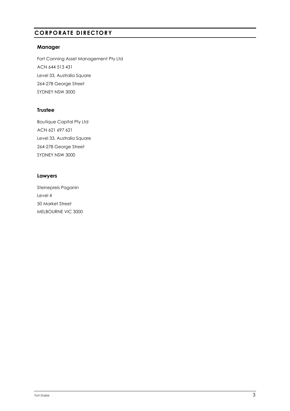# **CORPORATE DIRECTORY**

## **Manager**

Fort Canning Asset Management Pty Ltd ACN 644 513 431 Level 33, Australia Square 264-278 George Street SYDNEY NSW 3000

## **Trustee**

Boutique Capital Pty Ltd ACN 621 697 621 Level 33, Australia Square 264-278 George Street SYDNEY NSW 3000

## **Lawyers**

Steinepreis Paganin Level 4 50 Market Street MELBOURNE VIC 3000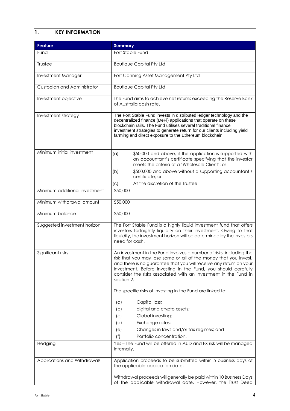# **1. KEY INFORMATION**

| <b>Feature</b>                | <b>Summary</b>                                                                                                                                                                                                                                                                                                                                                   |
|-------------------------------|------------------------------------------------------------------------------------------------------------------------------------------------------------------------------------------------------------------------------------------------------------------------------------------------------------------------------------------------------------------|
| Fund                          | Fort Stable Fund                                                                                                                                                                                                                                                                                                                                                 |
| Trustee                       | <b>Boutique Capital Pty Ltd</b>                                                                                                                                                                                                                                                                                                                                  |
| Investment Manager            | Fort Canning Asset Management Pty Ltd                                                                                                                                                                                                                                                                                                                            |
| Custodian and Administrator   | <b>Boutique Capital Pty Ltd</b>                                                                                                                                                                                                                                                                                                                                  |
| Investment objective          | The Fund aims to achieve net returns exceeding the Reserve Bank<br>of Australia cash rate.                                                                                                                                                                                                                                                                       |
| Investment strategy           | The Fort Stable Fund invests in distributed ledger technology and the<br>decentralized finance (DeFi) applications that operate on these<br>blockchain rails. The Fund utilises several traditional finance<br>investment strategies to generate return for our clients including yield<br>farming and direct exposure to the Ethereum blockchain.               |
| Minimum initial investment    | \$50,000 and above, if the application is supported with<br>(a)<br>an accountant's certificate specifying that the investor<br>meets the criteria of a 'Wholesale Client': or                                                                                                                                                                                    |
|                               | \$500,000 and above without a supporting accountant's<br>(b)<br>certificate; or                                                                                                                                                                                                                                                                                  |
|                               | At the discretion of the Trustee<br>(c)                                                                                                                                                                                                                                                                                                                          |
| Minimum additional investment | \$50,000                                                                                                                                                                                                                                                                                                                                                         |
| Minimum withdrawal amount     | \$50,000                                                                                                                                                                                                                                                                                                                                                         |
| Minimum balance               | \$50,000                                                                                                                                                                                                                                                                                                                                                         |
| Suggested investment horizon  | The Fort Stable Fund is a highly liquid investment fund that offers<br>investors fortnightly liquidity on their investment. Owing to that<br>liquidity, the investment horizon will be determined by the investors<br>need for cash.                                                                                                                             |
| Significant risks             | An investment in the Fund involves a number of risks, including the<br>risk that you may lose some or all of the money that you invest,<br>and there is no guarantee that you will receive any return on your<br>investment. Before investing in the Fund, you should carefully<br>consider the risks associated with an investment in the Fund in<br>section 2. |
|                               | The specific risks of investing in the Fund are linked to:                                                                                                                                                                                                                                                                                                       |
|                               | Capital loss;<br>(a)                                                                                                                                                                                                                                                                                                                                             |
|                               | (b)<br>digital and crypto assets;                                                                                                                                                                                                                                                                                                                                |
|                               | Global investing;<br>(c)                                                                                                                                                                                                                                                                                                                                         |
|                               | (d)<br>Exchange rates;<br>(e)<br>Changes in laws and/or tax regimes; and                                                                                                                                                                                                                                                                                         |
|                               | (f)<br>Portfolio concentration.                                                                                                                                                                                                                                                                                                                                  |
| Hedging                       | Yes - The Fund will be offered in AUD and FX risk will be managed<br>internally.                                                                                                                                                                                                                                                                                 |
| Applications and Withdrawals  | Application proceeds to be submitted within 5 business days of<br>the applicable application date.                                                                                                                                                                                                                                                               |
|                               | Withdrawal proceeds will generally be paid within 10 Business Days<br>of the applicable withdrawal date. However, the Trust Deed                                                                                                                                                                                                                                 |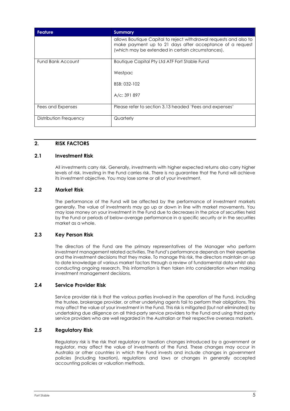| <b>Feature</b>         | <b>Summary</b>                                                                                                                                                                     |
|------------------------|------------------------------------------------------------------------------------------------------------------------------------------------------------------------------------|
|                        | allows Boutique Capital to reject withdrawal requests and also to<br>make payment up to 21 days after acceptance of a request<br>(which may be extended in certain circumstances). |
| Fund Bank Account      | Boutique Capital Pty Ltd ATF Fort Stable Fund                                                                                                                                      |
|                        | Westpac                                                                                                                                                                            |
|                        | BSB: 032-102                                                                                                                                                                       |
|                        | A/c: 391 897                                                                                                                                                                       |
| Fees and Expenses      | Please refer to section 3.13 headed 'Fees and expenses'                                                                                                                            |
| Distribution Frequency | Quarterly                                                                                                                                                                          |

#### **2. RISK FACTORS**

#### **2.1 Investment Risk**

All investments carry risk. Generally, investments with higher expected returns also carry higher levels of risk. Investing in the Fund carries risk. There is no guarantee that the Fund will achieve its investment objective. You may lose some or all of your investment.

## **2.2 Market Risk**

The performance of the Fund will be affected by the performance of investment markets generally. The value of investments may go up or down in line with market movements. You may lose money on your investment in the Fund due to decreases in the price of securities held by the Fund or periods of below-average performance in a specific security or in the securities market as a whole.

#### **2.3 Key Person Risk**

The directors of the Fund are the primary representatives of the Manager who perform investment management related activities. The Fund's performance depends on their expertise and the investment decisions that they make. To manage this risk, the directors maintain an up to date knowledge of various market factors through a review of fundamental data whilst also conducting ongoing research. This information is then taken into consideration when making investment management decisions.

#### **2.4 Service Provider Risk**

Service provider risk is that the various parties involved in the operation of the Fund, including the trustee, brokerage provider, or other underlying agents fail to perform their obligations. This may affect the value of your investment in the Fund. This risk is mitigated (but not eliminated) by undertaking due diligence on all third-party service providers to the Fund and using third party service providers who are well regarded in the Australian or their respective overseas markets.

#### **2.5 Regulatory Risk**

Regulatory risk is the risk that regulatory or taxation changes introduced by a government or regulator, may affect the value of investments of the Fund. These changes may occur in Australia or other countries in which the Fund invests and include changes in government policies (including taxation), regulations and laws or changes in generally accepted accounting policies or valuation methods.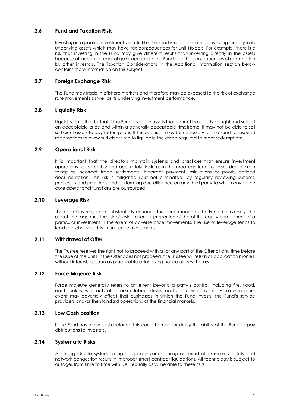## **2.6 Fund and Taxation Risk**

Investing in a pooled investment vehicle like the Fund is not the same as investing directly in its underlying assets which may have tax consequences for Unit Holders. For example, there is a risk that investing in the Fund may give different results than investing directly in the assets because of income or capital gains accrued in the Fund and the consequences of redemption by other investors. The Taxation Considerations in the Additional Information section below contains more information on this subject.

## **2.7 Foreign Exchange Risk**

The Fund may trade in offshore markets and therefore may be exposed to the risk of exchange rate movements as well as its underlying investment performance.

#### **2.8 Liquidity Risk**

Liquidity risk is the risk that if the Fund invests in assets that cannot be readily bought and sold at an acceptable price and within a generally acceptable timeframe, it may not be able to sell sufficient assets to pay redemptions. If this occurs, it may be necessary for the Fund to suspend redemptions to allow sufficient time to liquidate the assets required to meet redemptions.

## **2.9 Operational Risk**

It is important that the directors maintain systems and practices that ensure investment operations run smoothly and accurately. Failures in this area can lead to losses due to such things as incorrect trade settlements, incorrect payment instructions or poorly defined documentation. This risk is mitigated (but not eliminated) by regularly reviewing systems, processes and practices and performing due diligence on any third party to which any of the core operational functions are outsourced.

#### **2.10 Leverage Risk**

The use of leverage can substantially enhance the performance of the Fund. Conversely, the use of leverage runs the risk of losing a larger proportion of the of the equity component of a particular investment in the event of adverse price movements. The use of leverage tends to lead to higher volatility in unit price movements.

## **2.11 Withdrawal of Offer**

The Trustee reserves the right not to proceed with all or any part of the Offer at any time before the issue of the Units. If the Offer does not proceed, the Trustee will return all application monies, without interest, as soon as practicable after giving notice of its withdrawal.

## **2.12 Force Majeure Risk**

Force majeure generally refers to an event beyond a party's control, including fire, flood, earthquakes, war, acts of terrorism, labour strikes, and black swan events. A force majeure event may adversely affect that businesses in which the Fund invests, the Fund's service providers and/or the standard operations of the financial markets.

#### **2.13 Low Cash position**

If the Fund has a low cash balance this could hamper or delay the ability of the Fund to pay distributions to Investors.

#### **2.14 Systematic Risks**

A pricing Oracle system failing to update prices during a period of extreme volatility and network congestion results in improper smart contract liquidations. All technology is subject to outages from time to time with DeFi equally as vulnerable to these risks.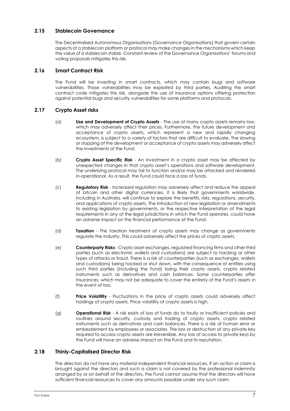## **2.15 Stablecoin Governance**

The Decentralised Autonomous Organisations (Governance Organisations) that govern certain aspects of a stablecoin platform or protocol may make changes in the mechanisms which keep the value of a stablecoin stable. Constant review of the Governance Organisations' forums and voting proposals mitigates this risk.

## **2.16 Smart Contract Risk**

The Fund will be investing in smart contracts, which may contain bugs and software vulnerabilities. Those vulnerabilities may be exploited by third parties. Auditing the smart contract code mitigates this risk, alongside the use of insurance options offering protection against potential bugs and security vulnerabilities for some platforms and protocols.

## **2.17 Crypto Asset risks**

- (a) **Use and Development of Crypto Assets** The use of many crypto assets remains low, which may adversely affect their prices. Furthermore, the future development and acceptance of crypto assets, which represent a new and rapidly changing ecosystem, is subject to a variety of factors that are difficult to evaluate. The slowing or stopping of the development or acceptance of crypto assets may adversely affect the investments of the Fund.
- (b) **Crypto Asset Specific Risk** An investment in a crypto asset may be affected by unexpected changes in that crypto asset's operations and software development. The underlying protocol may fail to function and/or may be attacked and rendered in-operational. As a result, the Fund could face a loss of funds.
- (c) **Regulatory Risk** Increased regulation may adversely affect and reduce the appeal of bitcoin and other digital currencies. It is likely that governments worldwide, including in Australia, will continue to explore the benefits, risks, regulations, security, and applications of crypto assets. The introduction of new legislation or amendments to existing legislation by governments, or the respective interpretation of the legal requirements in any of the legal jurisdictions in which the Fund operates, could have an adverse impact on the financial performance of the Fund.
- (d) **Taxation** The taxation treatment of crypto assets may change as governments regulate the industry. This could adversely affect the prices of crypto assets.
- (e) **Counterparty Risks** Crypto asset exchanges, regulated financing firms and other third parties (such as electronic wallets and custodians) are subject to hacking or other types of attacks or fraud. There is a risk of counterparties (such as exchanges, wallets and custodians) being hacked or shut down, with the consequence of entities using such third parties (including the Fund) losing their crypto assets, crypto related instruments such as derivatives and cash balances. Some counterparties offer insurances, which may not be adequate to cover the entirety of the Fund's assets in the event of loss.
- (f) **Price Volatility** Fluctuations in the price of crypto assets could adversely affect holdings of crypto assets. Price volatility of crypto assets is high.
- (g) **Operational Risk** A risk exists of loss of funds do to faulty or insufficient policies and routines around security, custody and trading of crypto assets, crypto related instruments such as derivatives and cash balances. There is a risk of human error or embezzlement by employees or associates. The loss or destruction of any private key required to access crypto assets are irreversible. Any loss of access to private keys by the Fund will have an adverse impact on the Fund and its reputation.

#### **2.18 Thinly-Capitalised Director Risk**

The directors do not have any material independent financial resources. If an action or claim is brought against the directors and such a claim is not covered by the professional indemnity arranged by or on behalf of the directors, the Fund cannot assume that the directors will have sufficient financial resources to cover any amounts payable under any such claim.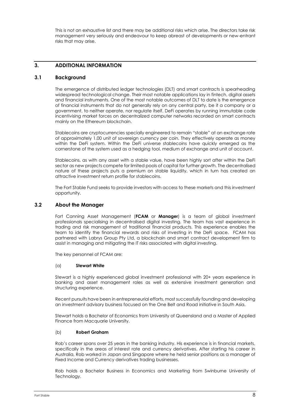This is not an exhaustive list and there may be additional risks which arise. The directors take risk management very seriously and endeavour to keep abreast of developments or new-entrant risks that may arise.

# **3. ADDITIONAL INFORMATION**

#### **3.1 Background**

The emergence of distributed ledger technologies (DLT) and smart contracts is spearheading widespread technological change. Their most notable applications lay in fintech, digital assets and financial instruments. One of the most notable outcomes of DLT to date is the emergence of financial instruments that do not generally rely on any central party, be it a company or a government, to neither operate, nor regulate itself. DeFi operates by running immutable code incentivising market forces on decentralized computer networks recorded on smart contracts mainly on the Ethereum blockchain.

Stablecoins are cryptocurrencies specially engineered to remain "stable" at an exchange rate of approximately 1.00 unit of sovereign currency per coin. They effectively operate as money within the DeFi system. Within the DeFi universe stablecoins have quickly emerged as the cornerstone of the system used as a hedging tool, medium of exchange and unit of account.

Stablecoins, as with any asset with a stable value, have been highly sort after within the DeFi sector as new projects compete for limited pools of capital for further growth. The decentralised nature of these projects puts a premium on stable liquidity, which in turn has created an attractive investment return profile for stablecoins.

The Fort Stable Fund seeks to provide investors with access to these markets and this investment opportunity.

#### **3.2 About the Manager**

Fort Canning Asset Management (**FCAM** or **Manager**) is a team of global investment professionals specialising in decentralised digital investing. The team has vast experience in trading and risk management of traditional financial products. This experience enables the team to identify the financial rewards and risks of investing in the DeFi space. FCAM has partnered with Labrys Group Pty Ltd, a blockchain and smart contract development firm to assist in managing and mitigating the IT risks associated with digital investing.

The key personnel of FCAM are:

#### (a) **Stewart White**

Stewart is a highly experienced global investment professional with 20+ years experience in banking and asset management roles as well as extensive investment generation and structuring experience.

Recent pursuits have been in entrepreneurial efforts, most successfully founding and developing an investment advisory business focused on the One Belt and Road initiative in South Asia.

Stewart holds a Bachelor of Economics from University of Queensland and a Master of Applied Finance from Macquarie University.

#### (b) **Robert Graham**

Rob's career spans over 25 years in the banking industry. His experience is in financial markets, specifically in the areas of interest rate and currency derivatives. After starting his career in Australia, Rob worked in Japan and Singapore where he held senior positions as a manager of Fixed Income and Currency derivatives trading businesses.

Rob holds a Bachelor Business in Economics and Marketing from Swinburne University of Technology.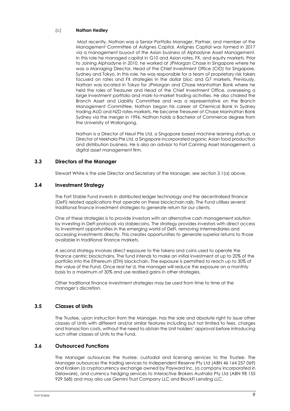#### (c) **Nathan Hedley**

Most recently, Nathan was a Senior Portfolio Manager, Partner, and member of the Management Committee of Astignes Capital. Astignes Capital was formed in 2017 via a management buyout of the Asian business of Alphadyne Asset Management. In this role he managed capital in G10 and Asian rates, FX, and equity markets. Prior to Joining Alphadyne in 2010, he worked at JPMorgan Chase in Singapore where he was a Managing Director, Head of the Chief Investment Office (CIO) for Singapore, Sydney and Tokyo. In this role, he was responsible for a team of proprietary risk takers focused on rates and FX strategies in the dollar bloc and G7 markets. Previously, Nathan was located in Tokyo for JPMorgan and Chase Manhattan Bank where he held the roles of Treasurer and Head of the Chief Investment Office, overseeing a large investment portfolio and mark-to-market trading activities. He also chaired the Branch Asset and Liability Committee and was a representative on the Branch Management Committee. Nathan began his career at Chemical Bank in Sydney trading AUD and NZD rates markets. He became Treasurer of Chase Manhattan Bank Sydney via the merger in 1996. Nathan holds a Bachelor of Commerce degree from the University of Wollongong.

Nathan is a Director of Neuri Pte Ltd, a Singapore based machine learning startup, a Director of Mekhala Pte Ltd, a Singapore incorporated organic Asian food production and distribution business. He is also an advisor to Fort Canning Asset Management, a digital asset management firm.

## **3.3 Directors of the Manager**

Stewart White is the sole Director and Secretary of the Manager, see section 3.1(a) above.

#### **3.4 Investment Strategy**

The Fort Stable Fund invests in distributed ledger technology and the decentralised finance (DeFi) related applications that operate on these blockchain rails. The Fund utilises several traditional finance investment strategies to generate return for our clients.

One of these strategies is to provide investors with an alternative cash management solution by investing in DeFi protocols via stablecoins. The strategy provides investors with direct access to investment opportunities in the emerging world of DeFi, removing intermediaries and accessing investments directly. This creates opportunities to generate superior returns to those available in traditional finance markets.

A second strategy involves direct exposure to the tokens and coins used to operate the finance centric blockchains. The fund intends to make an initial investment of up to 20% of the portfolio into the Ethereum (ETH) blockchain. The exposure is permitted to reach up to 30% of the value of the Fund. Once real he'd, the manager will reduce the exposure on a monthly basis to a maximum of 30% and use realised gains in other strategies.

Other traditional finance investment strategies may be used from time to time at the manager's discretion.

#### **3.5 Classes of Units**

The Trustee, upon instruction from the Manager, has the sole and absolute right to issue other classes of Units with different and/or similar features including but not limited to fees, charges and transaction costs, without the need to obtain the Unit holders' approval before introducing such other classes of Units to the Fund.

## **3.6 Outsourced Functions**

The Manager outsources the trustee, custodial and licensing services to the Trustee. The Manager outsources the trading services to Independent Reserve Pty Ltd (ABN 46 164 257 069) and Kraken (a cryptocurrency exchange owned by Payward Inc, (a company incorporated in Delaware), and currency hedging services to Interactive Brokers Australia Pty Ltd (ABN 98 155 929 568) and may also use Gemini Trust Company LLC and BlockFi Lending LLC.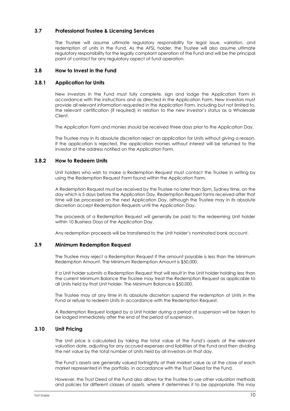## **3.7 Professional Trustee & Licensing Services**

The Trustee will assume ultimate regulatory responsibility for legal issue, variation, and redemption of units in the Fund. As the AFSL holder, the Trustee will also assume ultimate regulatory responsibility for the legally compliant operation of the Fund and will be the principal point of contact for any regulatory aspect of fund operation.

#### **3.8 How to Invest in the Fund**

#### **3.8.1 Application for Units**

New investors in the Fund must fully complete, sign and lodge the Application Form in accordance with the instructions and as directed in the Application Form. New investors must provide all relevant information requested in the Application Form, including but not limited to, the relevant certification (if required) in relation to the new investor's status as a Wholesale Client.

The Application Form and monies should be received three days prior to the Application Day.

The Trustee may in its absolute discretion reject an application for Units without giving a reason. If the application is rejected, the application monies without interest will be returned to the investor at the address notified on the Application Form.

#### **3.8.2 How to Redeem Units**

Unit holders who wish to make a Redemption Request must contact the Trustee in writing by using the Redemption Request Form found within the Application Form.

A Redemption Request must be received by the Trustee no later than 5pm, Sydney time, on the day which is 5 days before the Application Day. Redemption Request forms received after that time will be processed on the next Application Day, although the Trustee may in its absolute discretion accept Redemption Requests until the Application Day.

The proceeds of a Redemption Request will generally be paid to the redeeming Unit holder within 10 Business Days of the Application Day.

Any redemption proceeds will be transferred to the Unit holder's nominated bank account.

## **3.9 Minimum Redemption Request**

The Trustee may reject a Redemption Request if the amount payable is less than the Minimum Redemption Amount. The Minimum Redemption Amount is \$50,000.

If a Unit holder submits a Redemption Request that will result in the Unit holder holding less than the current Minimum Balance the Trustee may treat the Redemption Request as applicable to all Units held by that Unit holder. The Minimum Balance is \$50,000.

The Trustee may at any time in its absolute discretion suspend the redemption of Units in the Fund or refuse to redeem Units in accordance with the Redemption Request.

A Redemption Request lodged by a Unit holder during a period of suspension will be taken to be lodged immediately after the end of the period of suspension.

#### **3.10 Unit Pricing**

The Unit price is calculated by taking the total value of the Fund's assets at the relevant valuation date, adjusting for any accrued expenses and liabilities of the Fund and then dividing the net value by the total number of Units held by all investors on that day.

The Fund's assets are generally valued fortnightly at their market value as at the close of each market represented in the portfolio, in accordance with the Trust Deed for the Fund.

However, the Trust Deed of the Fund also allows for the Trustee to use other valuation methods and policies for different classes of assets, where it determines it to be appropriate. This may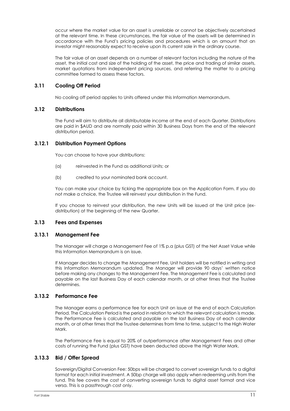occur where the market value for an asset is unreliable or cannot be objectively ascertained at the relevant time. In these circumstances, the fair value of the assets will be determined in accordance with the Fund's pricing policies and procedures which is an amount that an investor might reasonably expect to receive upon its current sale in the ordinary course.

The fair value of an asset depends on a number of relevant factors including the nature of the asset, the initial cost and size of the holding of the asset, the price and trading of similar assets, market quotations from independent pricing sources, and referring the matter to a pricing committee formed to assess these factors.

## **3.11 Cooling Off Period**

No cooling off period applies to Units offered under this Information Memorandum.

## **3.12 Distributions**

The Fund will aim to distribute all distributable income at the end of each Quarter. Distributions are paid in \$AUD and are normally paid within 30 Business Days from the end of the relevant distribution period.

## **3.12.1 Distribution Payment Options**

You can choose to have your distributions:

- (a) reinvested in the Fund as additional Units; or
- (b) credited to your nominated bank account.

You can make your choice by ticking the appropriate box on the Application Form. If you do not make a choice, the Trustee will reinvest your distribution in the Fund.

If you choose to reinvest your distribution, the new Units will be issued at the Unit price (exdistribution) at the beginning of the new Quarter.

## **3.13 Fees and Expenses**

## **3.13.1 Management Fee**

The Manager will charge a Management Fee of 1% p.a (plus GST) of the Net Asset Value while this Information Memorandum is on issue.

If Manager decides to change the Management Fee, Unit holders will be notified in writing and this Information Memorandum updated. The Manager will provide 90 days' written notice before making any changes to the Management Fee. The Management Fee is calculated and payable on the last Business Day of each calendar month, or at other times that the Trustee determines.

## **3.13.2 Performance Fee**

The Manager earns a performance fee for each Unit on issue at the end of each Calculation Period. The Calculation Period is the period in relation to which the relevant calculation is made. The Performance Fee is calculated and payable on the last Business Day of each calendar month, or at other times that the Trustee determines from time to time, subject to the High Water Mark.

The Performance Fee is equal to 20% of outperformance after Management Fees and other costs of running the Fund (plus GST) have been deducted above the High Water Mark.

# **3.13.3 Bid / Offer Spread**

Sovereign/Digital Conversion Fee: 50bps will be charged to convert sovereign funds to a digital format for each initial investment. A 50bp charge will also apply when redeeming units from the fund. This fee covers the cost of converting sovereign funds to digital asset format and vice versa. This is a passthrough cost only.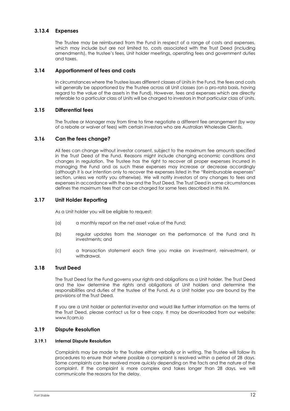## **3.13.4 Expenses**

The Trustee may be reimbursed from the Fund in respect of a range of costs and expenses, which may include but are not limited to, costs associated with the Trust Deed (including amendments), the trustee's fees, Unit holder meetings, operating fees and government duties and taxes.

#### **3.14 Apportionment of fees and costs**

In circumstances where the Trustee issues different classes of Units in the Fund, the fees and costs will generally be apportioned by the Trustee across all Unit classes (on a pro-rata basis, having regard to the value of the assets in the Fund). However, fees and expenses which are directly referable to a particular class of Units will be charged to investors in that particular class of Units.

## **3.15 Differential fees**

The Trustee or Manager may from time to time negotiate a different fee arrangement (by way of a rebate or waiver of fees) with certain investors who are Australian Wholesale Clients.

## **3.16 Can the fees change?**

All fees can change without investor consent, subject to the maximum fee amounts specified in the Trust Deed of the Fund. Reasons might include changing economic conditions and changes in regulation. The Trustee has the right to recover all proper expenses incurred in managing the Fund and as such these expenses may increase or decrease accordingly (although it is our intention only to recover the expenses listed in the "Reimbursable expenses" section, unless we notify you otherwise). We will notify investors of any changes to fees and expenses in accordance with the law and the Trust Deed. The Trust Deed in some circumstances defines the maximum fees that can be charged for some fees described in this IM.

## **3.17 Unit Holder Reporting**

As a Unit holder you will be eligible to request:

- (a) a monthly report on the net asset value of the Fund;
- (b) regular updates from the Manager on the performance of the Fund and its investments; and
- (c) a transaction statement each time you make an investment, reinvestment, or withdrawal.

#### **3.18 Trust Deed**

The Trust Deed for the Fund governs your rights and obligations as a Unit holder. The Trust Deed and the law determine the rights and obligations of Unit holders and determine the responsibilities and duties of the trustee of the Fund. As a Unit holder you are bound by the provisions of the Trust Deed.

If you are a Unit holder or potential investor and would like further information on the terms of the Trust Deed, please contact us for a free copy. It may be downloaded from our website: www.fcam.io

## **3.19 Dispute Resolution**

#### **3.19.1 Internal Dispute Resolution**

Complaints may be made to the Trustee either verbally or in writing. The Trustee will follow its procedures to ensure that where possible a complaint is resolved within a period of 28 days. Some complaints can be resolved more quickly depending on the facts and the nature of the complaint. If the complaint is more complex and takes longer than 28 days, we will communicate the reasons for the delay.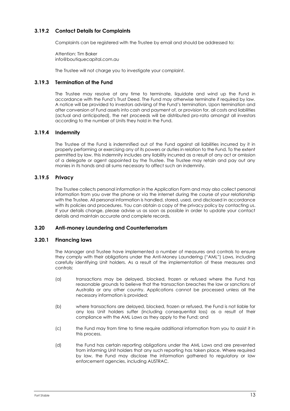## **3.19.2 Contact Details for Complaints**

Complaints can be registered with the Trustee by email and should be addressed to:

Attention: Tim Baker info@boutiquecapital.com.au

The Trustee will not charge you to investigate your complaint.

## **3.19.3 Termination of the Fund**

The Trustee may resolve at any time to terminate, liquidate and wind up the Fund in accordance with the Fund's Trust Deed. The Fund may otherwise terminate if required by law. A notice will be provided to investors advising of the Fund's termination. Upon termination and after conversion of Fund assets into cash and payment of, or provision for, all costs and liabilities (actual and anticipated), the net proceeds will be distributed pro-rata amongst all investors according to the number of Units they hold in the Fund.

## **3.19.4 Indemnity**

The Trustee of the Fund is indemnified out of the Fund against all liabilities incurred by it in properly performing or exercising any of its powers or duties in relation to the Fund. To the extent permitted by law, this indemnity includes any liability incurred as a result of any act or omission of a delegate or agent appointed by the Trustee. The Trustee may retain and pay out any monies in its hands and all sums necessary to affect such an indemnity.

## **3.19.5 Privacy**

The Trustee collects personal information in the Application Form and may also collect personal information from you over the phone or via the internet during the course of your relationship with the Trustee. All personal information is handled, stored, used, and disclosed in accordance with its policies and procedures. You can obtain a copy of the privacy policy by contacting us. If your details change, please advise us as soon as possible in order to update your contact details and maintain accurate and complete records.

## **3.20 Anti-money Laundering and Counterterrorism**

#### **3.20.1 Financing laws**

The Manager and Trustee have implemented a number of measures and controls to ensure they comply with their obligations under the Anti-Money Laundering ("AML") Laws, including carefully identifying Unit holders. As a result of the implementation of these measures and controls:

- (a) transactions may be delayed, blocked, frozen or refused where the Fund has reasonable grounds to believe that the transaction breaches the law or sanctions of Australia or any other country. Applications cannot be processed unless all the necessary information is provided;
- (b) where transactions are delayed, blocked, frozen or refused, the Fund is not liable for any loss Unit holders suffer (including consequential loss) as a result of their compliance with the AML Laws as they apply to the Fund; and
- (c) the Fund may from time to time require additional information from you to assist it in this process.
- (d) the Fund has certain reporting obligations under the AML Laws and are prevented from informing Unit holders that any such reporting has taken place. Where required by law, the Fund may disclose the information gathered to regulatory or law enforcement agencies, including AUSTRAC.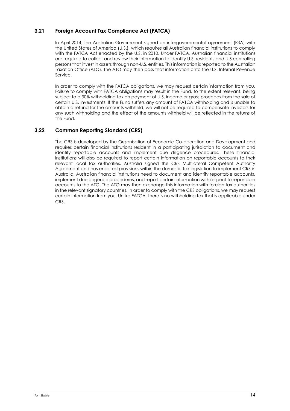# **3.21 Foreign Account Tax Compliance Act (FATCA)**

In April 2014, the Australian Government signed an intergovernmental agreement (IGA) with the United States of America (U.S.), which requires all Australian financial institutions to comply with the FATCA Act enacted by the U.S. in 2010. Under FATCA, Australian financial institutions are required to collect and review their information to identify U.S. residents and U.S controlling persons that invest in assets through non-U.S. entities. This information is reported to the Australian Taxation Office (ATO). The ATO may then pass that information onto the U.S. Internal Revenue Service.

In order to comply with the FATCA obligations, we may request certain information from you. Failure to comply with FATCA obligations may result in the Fund, to the extent relevant, being subject to a 30% withholding tax on payment of U.S. income or gross proceeds from the sale of certain U.S. investments. If the Fund suffers any amount of FATCA withholding and is unable to obtain a refund for the amounts withheld, we will not be required to compensate investors for any such withholding and the effect of the amounts withheld will be reflected in the returns of the Fund.

## **3.22 Common Reporting Standard (CRS)**

The CRS is developed by the Organisation of Economic Co-operation and Development and requires certain financial institutions resident in a participating jurisdiction to document and identify reportable accounts and implement due diligence procedures. These financial institutions will also be required to report certain information on reportable accounts to their relevant local tax authorities. Australia signed the CRS Multilateral Competent Authority Agreement and has enacted provisions within the domestic tax legislation to implement CRS in Australia. Australian financial institutions need to document and identify reportable accounts, implement due diligence procedures, and report certain information with respect to reportable accounts to the ATO. The ATO may then exchange this information with foreign tax authorities in the relevant signatory countries. In order to comply with the CRS obligations, we may request certain information from you. Unlike FATCA, there is no withholding tax that is applicable under CRS.